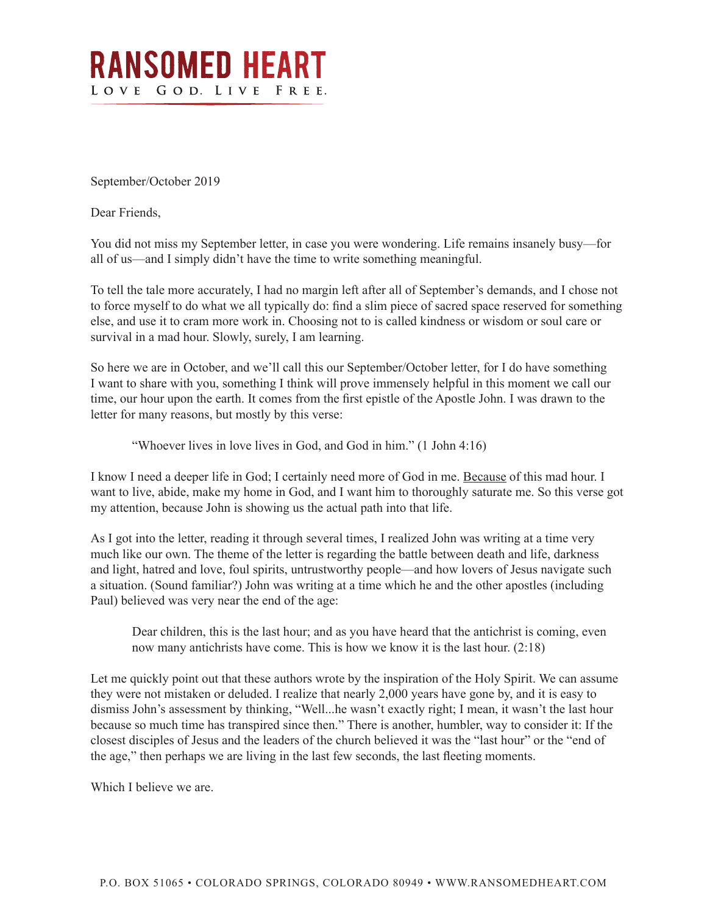

September/October 2019

Dear Friends,

You did not miss my September letter, in case you were wondering. Life remains insanely busy—for all of us—and I simply didn't have the time to write something meaningful.

To tell the tale more accurately, I had no margin left after all of September's demands, and I chose not to force myself to do what we all typically do: find a slim piece of sacred space reserved for something else, and use it to cram more work in. Choosing not to is called kindness or wisdom or soul care or survival in a mad hour. Slowly, surely, I am learning.

So here we are in October, and we'll call this our September/October letter, for I do have something I want to share with you, something I think will prove immensely helpful in this moment we call our time, our hour upon the earth. It comes from the first epistle of the Apostle John. I was drawn to the letter for many reasons, but mostly by this verse:

"Whoever lives in love lives in God, and God in him." (1 John 4:16)

I know I need a deeper life in God; I certainly need more of God in me. Because of this mad hour. I want to live, abide, make my home in God, and I want him to thoroughly saturate me. So this verse got my attention, because John is showing us the actual path into that life.

As I got into the letter, reading it through several times, I realized John was writing at a time very much like our own. The theme of the letter is regarding the battle between death and life, darkness and light, hatred and love, foul spirits, untrustworthy people—and how lovers of Jesus navigate such a situation. (Sound familiar?) John was writing at a time which he and the other apostles (including Paul) believed was very near the end of the age:

Dear children, this is the last hour; and as you have heard that the antichrist is coming, even now many antichrists have come. This is how we know it is the last hour. (2:18)

Let me quickly point out that these authors wrote by the inspiration of the Holy Spirit. We can assume they were not mistaken or deluded. I realize that nearly 2,000 years have gone by, and it is easy to dismiss John's assessment by thinking, "Well...he wasn't exactly right; I mean, it wasn't the last hour because so much time has transpired since then." There is another, humbler, way to consider it: If the closest disciples of Jesus and the leaders of the church believed it was the "last hour" or the "end of the age," then perhaps we are living in the last few seconds, the last fleeting moments.

Which I believe we are.